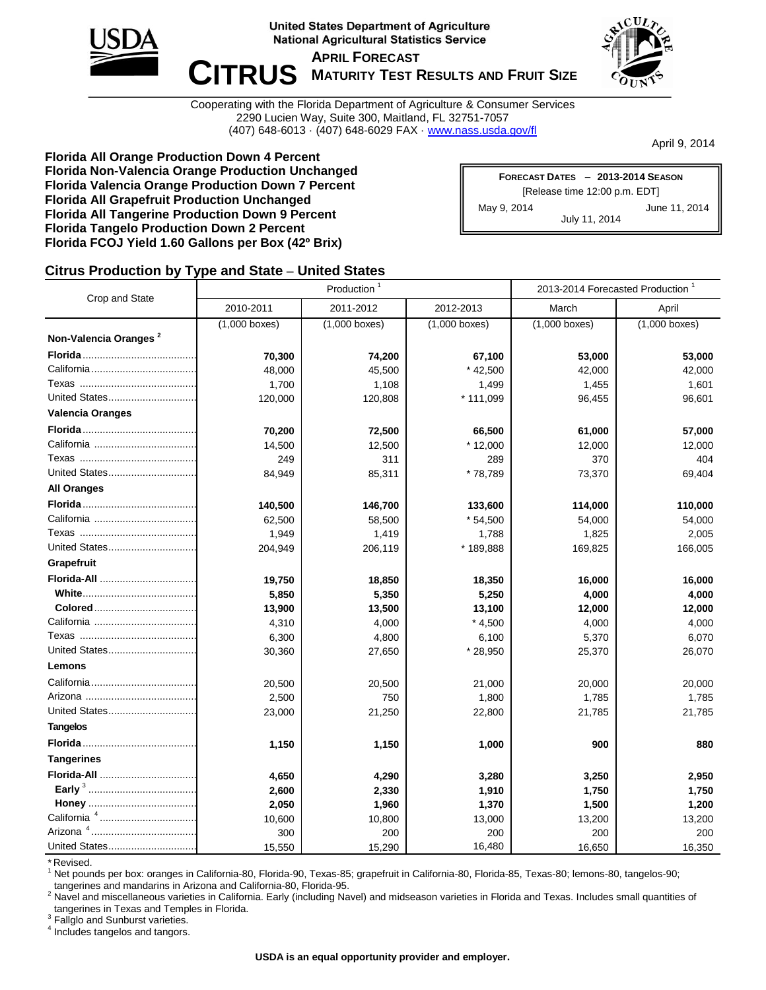

**United States Department of Agriculture National Agricultural Statistics Service** 

 $\blacksquare$  **CITRUS** MATURITY TEST RESULTS AND FRUIT SIZE **APRIL FORECAST**



Cooperating with the Florida Department of Agriculture & Consumer Services 2290 Lucien Way, Suite 300, Maitland, FL 32751-7057 (407) 648-6013 · (407) 648-6029 FAX · www.nass.usda.gov/fl

April 9, 2014

**Florida All Orange Production Down 4 Percent Florida Non-Valencia Orange Production Unchanged Florida Valencia Orange Production Down 7 Percent Florida All Grapefruit Production Unchanged Florida All Tangerine Production Down 9 Percent Florida Tangelo Production Down 2 Percent Florida FCOJ Yield 1.60 Gallons per Box (42º Brix)**

| FORECAST DATES - 2013-2014 SEASON |               |  |  |  |  |  |  |
|-----------------------------------|---------------|--|--|--|--|--|--|
| [Release time 12:00 p.m. EDT]     |               |  |  |  |  |  |  |
| May 9, 2014                       | June 11, 2014 |  |  |  |  |  |  |
|                                   | July 11, 2014 |  |  |  |  |  |  |

### **Citrus Production by Type and State – United States**

|                                   |                 | Production      |                 | 2013-2014 Forecasted Production <sup>1</sup> |                 |  |  |
|-----------------------------------|-----------------|-----------------|-----------------|----------------------------------------------|-----------------|--|--|
| Crop and State                    | 2010-2011       | 2011-2012       | 2012-2013       | March                                        | April           |  |  |
|                                   | $(1,000$ boxes) | $(1,000$ boxes) | $(1,000$ boxes) | $(1,000$ boxes)                              | $(1,000$ boxes) |  |  |
| Non-Valencia Oranges <sup>2</sup> |                 |                 |                 |                                              |                 |  |  |
|                                   | 70,300          | 74,200          | 67,100          | 53,000                                       | 53,000          |  |  |
|                                   | 48,000          | 45,500          | $*$ 42,500      | 42,000                                       | 42,000          |  |  |
|                                   | 1,700           | 1,108           | 1,499           | 1,455                                        | 1,601           |  |  |
| United States                     | 120,000         | 120,808         | * 111,099       | 96,455                                       | 96,601          |  |  |
| <b>Valencia Oranges</b>           |                 |                 |                 |                                              |                 |  |  |
|                                   | 70,200          | 72,500          | 66,500          | 61,000                                       | 57,000          |  |  |
|                                   | 14,500          | 12,500          | $*12,000$       | 12,000                                       | 12,000          |  |  |
|                                   | 249             | 311             | 289             | 370                                          | 404             |  |  |
| United States                     | 84,949          | 85,311          | * 78,789        | 73,370                                       | 69,404          |  |  |
| <b>All Oranges</b>                |                 |                 |                 |                                              |                 |  |  |
|                                   | 140,500         | 146,700         | 133,600         | 114,000                                      | 110,000         |  |  |
|                                   | 62,500          | 58,500          | $*54,500$       | 54,000                                       | 54,000          |  |  |
|                                   | 1,949           | 1,419           | 1,788           | 1,825                                        | 2,005           |  |  |
| United States                     | 204,949         | 206,119         | *189,888        | 169,825                                      | 166,005         |  |  |
| Grapefruit                        |                 |                 |                 |                                              |                 |  |  |
| Florida-All                       | 19,750          | 18,850          | 18,350          | 16,000                                       | 16,000          |  |  |
|                                   | 5,850           | 5,350           | 5,250           | 4,000                                        | 4,000           |  |  |
|                                   | 13,900          | 13,500          | 13,100          | 12,000                                       | 12,000          |  |  |
|                                   | 4,310           | 4,000           | $*4,500$        | 4,000                                        | 4,000           |  |  |
|                                   | 6,300           | 4,800           | 6,100           | 5,370                                        | 6,070           |  |  |
| United States                     | 30,360          | 27,650          | * 28,950        | 25,370                                       | 26,070          |  |  |
| Lemons                            |                 |                 |                 |                                              |                 |  |  |
|                                   | 20,500          | 20,500          | 21,000          | 20,000                                       | 20,000          |  |  |
|                                   | 2,500           | 750             | 1,800           | 1,785                                        | 1,785           |  |  |
| United States                     | 23,000          | 21,250          | 22,800          | 21,785                                       | 21,785          |  |  |
| <b>Tangelos</b>                   |                 |                 |                 |                                              |                 |  |  |
|                                   | 1,150           | 1,150           | 1,000           | 900                                          | 880             |  |  |
| <b>Tangerines</b>                 |                 |                 |                 |                                              |                 |  |  |
| Florida-All                       | 4,650           | 4,290           | 3,280           | 3,250                                        | 2,950           |  |  |
|                                   | 2,600           | 2,330           | 1,910           | 1,750                                        | 1,750           |  |  |
|                                   | 2,050           | 1,960           | 1,370           | 1,500                                        | 1,200           |  |  |
| California <sup>4</sup>           | 10,600          | 10,800          | 13,000          | 13,200                                       | 13,200          |  |  |
|                                   | 300             | 200             | 200             | 200                                          | 200             |  |  |
| United States                     | 15,550          | 15,290          | 16,480          | 16,650                                       | 16,350          |  |  |

\* Revised.

<sup>1</sup> Net pounds per box: oranges in California-80, Florida-90, Texas-85; grapefruit in California-80, Florida-85, Texas-80; lemons-80, tangelos-90; tangerines and mandarins in Arizona and California-80, Florida-95.

<sup>2</sup> Navel and miscellaneous varieties in California. Early (including Navel) and midseason varieties in Florida and Texas. Includes small quantities of tangerines in Texas and Temples in Florida.

<sup>3</sup> Fallglo and Sunburst varieties.

4 Includes tangelos and tangors.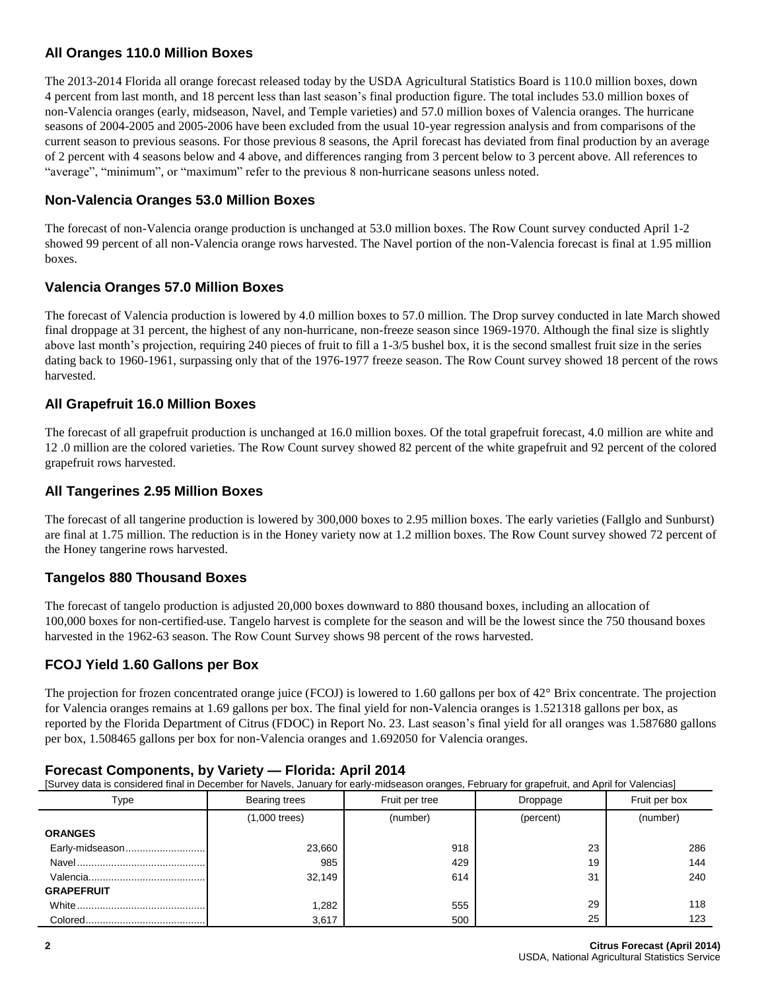### **All Oranges 110.0 Million Boxes**

The 2013-2014 Florida all orange forecast released today by the USDA Agricultural Statistics Board is 110.0 million boxes, down 4 percent from last month, and 18 percent less than last season's final production figure. The total includes 53.0 million boxes of non-Valencia oranges (early, midseason, Navel, and Temple varieties) and 57.0 million boxes of Valencia oranges. The hurricane seasons of 2004-2005 and 2005-2006 have been excluded from the usual 10-year regression analysis and from comparisons of the current season to previous seasons. For those previous 8 seasons, the April forecast has deviated from final production by an average of 2 percent with 4 seasons below and 4 above, and differences ranging from 3 percent below to 3 percent above. All references to "average", "minimum", or "maximum" refer to the previous 8 non-hurricane seasons unless noted.

### **Non-Valencia Oranges 53.0 Million Boxes**

The forecast of non-Valencia orange production is unchanged at 53.0 million boxes. The Row Count survey conducted April 1-2 showed 99 percent of all non-Valencia orange rows harvested. The Navel portion of the non-Valencia forecast is final at 1.95 million boxes.

### **Valencia Oranges 57.0 Million Boxes**

The forecast of Valencia production is lowered by 4.0 million boxes to 57.0 million. The Drop survey conducted in late March showed final droppage at 31 percent, the highest of any non-hurricane, non-freeze season since 1969-1970. Although the final size is slightly above last month's projection, requiring 240 pieces of fruit to fill a 1-3/5 bushel box, it is the second smallest fruit size in the series dating back to 1960-1961, surpassing only that of the 1976-1977 freeze season. The Row Count survey showed 18 percent of the rows harvested.

### **All Grapefruit 16.0 Million Boxes**

The forecast of all grapefruit production is unchanged at 16.0 million boxes. Of the total grapefruit forecast, 4.0 million are white and 12 .0 million are the colored varieties. The Row Count survey showed 82 percent of the white grapefruit and 92 percent of the colored grapefruit rows harvested.

### **All Tangerines 2.95 Million Boxes**

The forecast of all tangerine production is lowered by 300,000 boxes to 2.95 million boxes. The early varieties (Fallglo and Sunburst) are final at 1.75 million. The reduction is in the Honey variety now at 1.2 million boxes. The Row Count survey showed 72 percent of the Honey tangerine rows harvested.

## **Tangelos 880 Thousand Boxes**

The forecast of tangelo production is adjusted 20,000 boxes downward to 880 thousand boxes, including an allocation of 100,000 boxes for non-certified use. Tangelo harvest is complete for the season and will be the lowest since the 750 thousand boxes harvested in the 1962-63 season. The Row Count Survey shows 98 percent of the rows harvested.

### **FCOJ Yield 1.60 Gallons per Box**

The projection for frozen concentrated orange juice (FCOJ) is lowered to 1.60 gallons per box of  $42^{\circ}$  Brix concentrate. The projection for Valencia oranges remains at 1.69 gallons per box. The final yield for non-Valencia oranges is 1.521318 gallons per box, as reported by the Florida Department of Citrus (FDOC) in Report No. 23. Last season's final yield for all oranges was 1.587680 gallons per box, 1.508465 gallons per box for non-Valencia oranges and 1.692050 for Valencia oranges.

| [Survey data is considered final in December for Navels, January for early-midseason oranges, February for grapefruit, and April for Valencias] |                 |                |           |               |  |  |  |  |  |  |
|-------------------------------------------------------------------------------------------------------------------------------------------------|-----------------|----------------|-----------|---------------|--|--|--|--|--|--|
| Type                                                                                                                                            | Bearing trees   | Fruit per tree | Droppage  | Fruit per box |  |  |  |  |  |  |
|                                                                                                                                                 | $(1,000$ trees) | (number)       | (percent) | (number)      |  |  |  |  |  |  |
| <b>ORANGES</b>                                                                                                                                  |                 |                |           |               |  |  |  |  |  |  |
| Early-midseason                                                                                                                                 | 23,660          | 918            | 23        | 286           |  |  |  |  |  |  |
|                                                                                                                                                 | 985             | 429            | 19        | 144           |  |  |  |  |  |  |
|                                                                                                                                                 | 32.149          | 614            | 31        | 240           |  |  |  |  |  |  |
| <b>GRAPEFRUIT</b>                                                                                                                               |                 |                |           |               |  |  |  |  |  |  |
|                                                                                                                                                 | 1.282           | 555            | 29        | 118           |  |  |  |  |  |  |
|                                                                                                                                                 | 3,617           | 500            | 25        | 123           |  |  |  |  |  |  |

#### **Forecast Components, by Variety — Florida: April 2014**